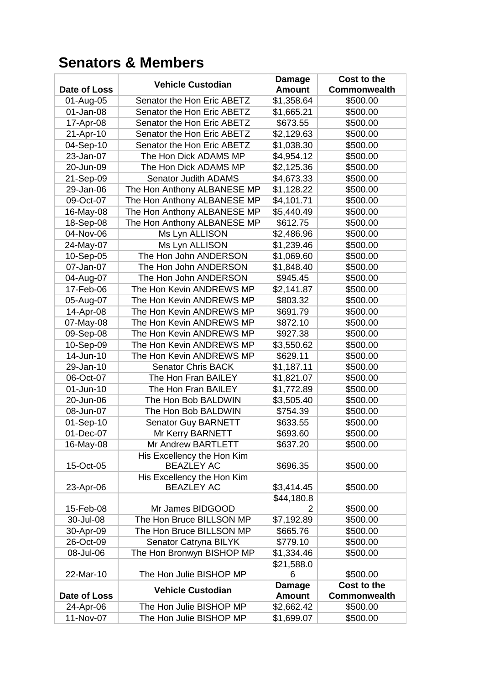## **Senators & Members**

|                        | <b>Vehicle Custodian</b>                        | <b>Damage</b>            | Cost to the         |
|------------------------|-------------------------------------------------|--------------------------|---------------------|
| Date of Loss           |                                                 | <b>Amount</b>            | <b>Commonwealth</b> |
| 01-Aug-05              | Senator the Hon Eric ABETZ                      | \$1,358.64               | \$500.00            |
| 01-Jan-08              | Senator the Hon Eric ABETZ                      | \$1,665.21               | \$500.00            |
| 17-Apr-08              | Senator the Hon Eric ABETZ                      | \$673.55                 | \$500.00            |
| 21-Apr-10              | Senator the Hon Eric ABETZ                      | \$2,129.63               | \$500.00            |
| 04-Sep-10              | Senator the Hon Eric ABETZ                      | \$1,038.30               | \$500.00            |
| 23-Jan-07              | The Hon Dick ADAMS MP                           | \$4,954.12               | \$500.00            |
| 20-Jun-09              | The Hon Dick ADAMS MP                           | \$2,125.36               | \$500.00            |
| 21-Sep-09              | Senator Judith ADAMS                            | \$4,673.33               | \$500.00            |
| 29-Jan-06              | The Hon Anthony ALBANESE MP                     | \$1,128.22               | \$500.00            |
| 09-Oct-07              | The Hon Anthony ALBANESE MP                     | \$4,101.71               | \$500.00            |
| 16-May-08              | The Hon Anthony ALBANESE MP                     | \$5,440.49               | \$500.00            |
| 18-Sep-08              | The Hon Anthony ALBANESE MP                     | \$612.75                 | \$500.00            |
| 04-Nov-06              | Ms Lyn ALLISON                                  | \$2,486.96               | \$500.00            |
| 24-May-07              | Ms Lyn ALLISON                                  | \$1,239.46               | \$500.00            |
| 10-Sep-05              | The Hon John ANDERSON                           | \$1,069.60               | \$500.00            |
| 07-Jan-07              | The Hon John ANDERSON                           | \$1,848.40               | \$500.00            |
| 04-Aug-07              | The Hon John ANDERSON                           | \$945.45                 | \$500.00            |
| 17-Feb-06              | The Hon Kevin ANDREWS MP                        | \$2,141.87               | \$500.00            |
| 05-Aug-07              | The Hon Kevin ANDREWS MP                        | \$803.32                 | \$500.00            |
| 14-Apr-08              | The Hon Kevin ANDREWS MP                        | \$691.79                 | \$500.00            |
| 07-May-08              | The Hon Kevin ANDREWS MP                        | \$872.10                 | \$500.00            |
| 09-Sep-08              | The Hon Kevin ANDREWS MP                        | \$927.38                 | \$500.00            |
| 10-Sep-09              | The Hon Kevin ANDREWS MP                        | \$3,550.62               | \$500.00            |
| 14-Jun-10              | The Hon Kevin ANDREWS MP                        | \$629.11                 | \$500.00            |
| 29-Jan-10              | <b>Senator Chris BACK</b>                       | \$1,187.11               | \$500.00            |
| 06-Oct-07              | The Hon Fran BAILEY                             |                          | \$500.00            |
|                        |                                                 | \$1,821.07               |                     |
| 01-Jun-10              | The Hon Fran BAILEY                             | \$1,772.89               | \$500.00            |
| 20-Jun-06              | The Hon Bob BALDWIN                             | \$3,505.40               | \$500.00            |
| 08-Jun-07              | The Hon Bob BALDWIN                             | \$754.39                 | \$500.00            |
| 01-Sep-10              | <b>Senator Guy BARNETT</b>                      | \$633.55                 | \$500.00            |
| 01-Dec-07              | Mr Kerry BARNETT                                | \$693.60                 | \$500.00            |
| 16-May-08              | Mr Andrew BARTLETT                              | \$637.20                 | \$500.00            |
|                        | His Excellency the Hon Kim                      |                          |                     |
| 15-Oct-05              | <b>BEAZLEY AC</b>                               | \$696.35                 | \$500.00            |
|                        | His Excellency the Hon Kim<br><b>BEAZLEY AC</b> |                          | \$500.00            |
| 23-Apr-06              |                                                 | \$3,414.45<br>\$44,180.8 |                     |
| 15-Feb-08              | Mr James BIDGOOD                                | 2                        | \$500.00            |
| 30-Jul-08              | The Hon Bruce BILLSON MP                        | \$7,192.89               | \$500.00            |
|                        | The Hon Bruce BILLSON MP                        | \$665.76                 | \$500.00            |
| 30-Apr-09              |                                                 |                          |                     |
| 26-Oct-09<br>08-Jul-06 | Senator Catryna BILYK                           | \$779.10<br>\$1,334.46   | \$500.00            |
|                        | The Hon Bronwyn BISHOP MP                       |                          | \$500.00            |
| 22-Mar-10              | The Hon Julie BISHOP MP                         | \$21,588.0<br>6          | \$500.00            |
|                        |                                                 | <b>Damage</b>            | Cost to the         |
| Date of Loss           | <b>Vehicle Custodian</b>                        | <b>Amount</b>            | <b>Commonwealth</b> |
| 24-Apr-06              | The Hon Julie BISHOP MP                         | \$2,662.42               | \$500.00            |
|                        |                                                 |                          |                     |
| 11-Nov-07              | The Hon Julie BISHOP MP                         | \$1,699.07               | \$500.00            |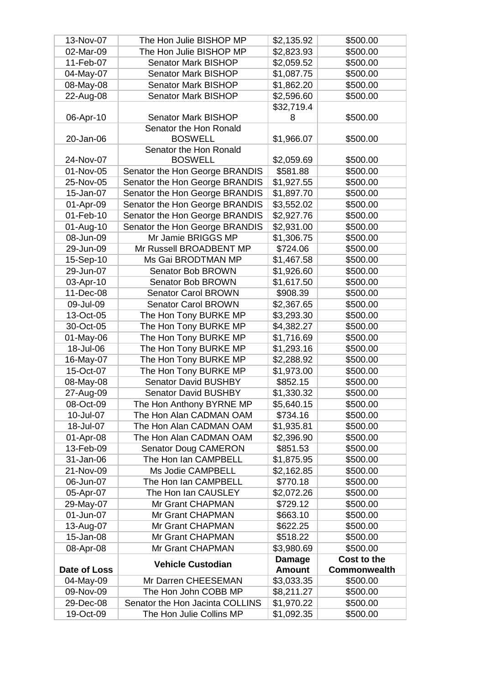| 13-Nov-07    | The Hon Julie BISHOP MP         | \$2,135.92    | \$500.00            |
|--------------|---------------------------------|---------------|---------------------|
| 02-Mar-09    | The Hon Julie BISHOP MP         | \$2,823.93    | \$500.00            |
| 11-Feb-07    | Senator Mark BISHOP             | \$2,059.52    | \$500.00            |
| 04-May-07    | <b>Senator Mark BISHOP</b>      | \$1,087.75    | \$500.00            |
| 08-May-08    | Senator Mark BISHOP             | \$1,862.20    | \$500.00            |
| 22-Aug-08    | Senator Mark BISHOP             | \$2,596.60    | \$500.00            |
|              |                                 | \$32,719.4    |                     |
| 06-Apr-10    | <b>Senator Mark BISHOP</b>      | 8             | \$500.00            |
|              | Senator the Hon Ronald          |               |                     |
| 20-Jan-06    | <b>BOSWELL</b>                  | \$1,966.07    | \$500.00            |
|              | Senator the Hon Ronald          |               |                     |
| 24-Nov-07    | <b>BOSWELL</b>                  | \$2,059.69    | \$500.00            |
| 01-Nov-05    | Senator the Hon George BRANDIS  | \$581.88      | \$500.00            |
| 25-Nov-05    | Senator the Hon George BRANDIS  | \$1,927.55    | \$500.00            |
| 15-Jan-07    | Senator the Hon George BRANDIS  | \$1,897.70    | \$500.00            |
| 01-Apr-09    | Senator the Hon George BRANDIS  | \$3,552.02    | \$500.00            |
| 01-Feb-10    | Senator the Hon George BRANDIS  | \$2,927.76    | \$500.00            |
| 01-Aug-10    | Senator the Hon George BRANDIS  | \$2,931.00    | \$500.00            |
| 08-Jun-09    | Mr Jamie BRIGGS MP              | \$1,306.75    | \$500.00            |
| 29-Jun-09    | Mr Russell BROADBENT MP         | \$724.06      | \$500.00            |
| 15-Sep-10    | Ms Gai BRODTMAN MP              | \$1,467.58    | \$500.00            |
| 29-Jun-07    | Senator Bob BROWN               | \$1,926.60    | \$500.00            |
| 03-Apr-10    | Senator Bob BROWN               | \$1,617.50    | \$500.00            |
| 11-Dec-08    | <b>Senator Carol BROWN</b>      | \$908.39      | \$500.00            |
| 09-Jul-09    | <b>Senator Carol BROWN</b>      | \$2,367.65    | \$500.00            |
| 13-Oct-05    | The Hon Tony BURKE MP           | \$3,293.30    | \$500.00            |
| 30-Oct-05    | The Hon Tony BURKE MP           | \$4,382.27    | \$500.00            |
| 01-May-06    | The Hon Tony BURKE MP           | \$1,716.69    | \$500.00            |
| 18-Jul-06    | The Hon Tony BURKE MP           | \$1,293.16    | \$500.00            |
| 16-May-07    | The Hon Tony BURKE MP           | \$2,288.92    | \$500.00            |
| 15-Oct-07    | The Hon Tony BURKE MP           | \$1,973.00    | \$500.00            |
| 08-May-08    | <b>Senator David BUSHBY</b>     | \$852.15      | \$500.00            |
| 27-Aug-09    | <b>Senator David BUSHBY</b>     | \$1,330.32    | \$500.00            |
| 08-Oct-09    | The Hon Anthony BYRNE MP        | \$5,640.15    | \$500.00            |
| 10-Jul-07    | The Hon Alan CADMAN OAM         | \$734.16      | \$500.00            |
| 18-Jul-07    | The Hon Alan CADMAN OAM         | \$1,935.81    | \$500.00            |
| 01-Apr-08    | The Hon Alan CADMAN OAM         | \$2,396.90    | \$500.00            |
| 13-Feb-09    | <b>Senator Doug CAMERON</b>     | \$851.53      | \$500.00            |
| 31-Jan-06    | The Hon Ian CAMPBELL            | \$1,875.95    | \$500.00            |
| 21-Nov-09    | Ms Jodie CAMPBELL               | \$2,162.85    | \$500.00            |
| 06-Jun-07    | The Hon Ian CAMPBELL            | \$770.18      | \$500.00            |
| 05-Apr-07    | The Hon Ian CAUSLEY             | \$2,072.26    | \$500.00            |
| 29-May-07    | Mr Grant CHAPMAN                | \$729.12      | \$500.00            |
| 01-Jun-07    | Mr Grant CHAPMAN                | \$663.10      | \$500.00            |
| 13-Aug-07    | Mr Grant CHAPMAN                | \$622.25      | \$500.00            |
| 15-Jan-08    | Mr Grant CHAPMAN                | \$518.22      | \$500.00            |
| 08-Apr-08    | Mr Grant CHAPMAN                | \$3,980.69    | \$500.00            |
|              | <b>Vehicle Custodian</b>        | <b>Damage</b> | Cost to the         |
| Date of Loss |                                 | <b>Amount</b> | <b>Commonwealth</b> |
| 04-May-09    | Mr Darren CHEESEMAN             | \$3,033.35    | \$500.00            |
| 09-Nov-09    | The Hon John COBB MP            | \$8,211.27    | \$500.00            |
| 29-Dec-08    | Senator the Hon Jacinta COLLINS | \$1,970.22    | \$500.00            |
| 19-Oct-09    | The Hon Julie Collins MP        | \$1,092.35    | \$500.00            |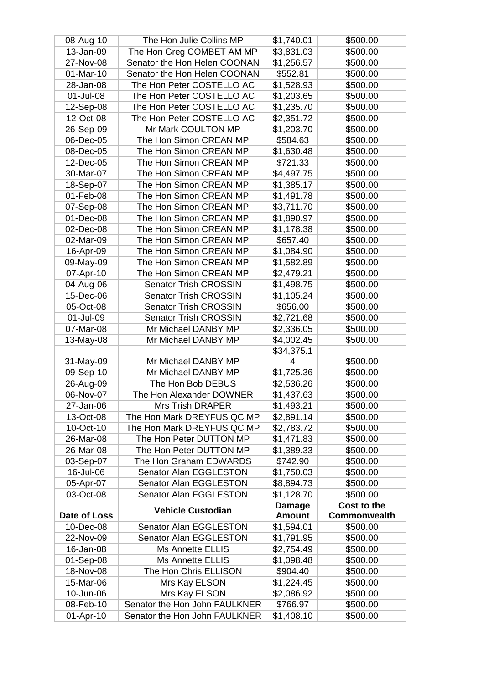| 08-Aug-10              | The Hon Julie Collins MP                                       | \$1,740.01             | \$500.00             |
|------------------------|----------------------------------------------------------------|------------------------|----------------------|
| 13-Jan-09              | The Hon Greg COMBET AM MP                                      | \$3,831.03             | \$500.00             |
| 27-Nov-08              | Senator the Hon Helen COONAN                                   | \$1,256.57             | \$500.00             |
| 01-Mar-10              | Senator the Hon Helen COONAN                                   | \$552.81               | \$500.00             |
| 28-Jan-08              | The Hon Peter COSTELLO AC                                      | \$1,528.93             | \$500.00             |
| 01-Jul-08              | The Hon Peter COSTELLO AC                                      | \$1,203.65             | \$500.00             |
| 12-Sep-08              | The Hon Peter COSTELLO AC                                      | \$1,235.70             | \$500.00             |
| 12-Oct-08              | The Hon Peter COSTELLO AC                                      | \$2,351.72             | \$500.00             |
| 26-Sep-09              | Mr Mark COULTON MP                                             | \$1,203.70             | \$500.00             |
| 06-Dec-05              | The Hon Simon CREAN MP                                         | \$584.63               | \$500.00             |
| 08-Dec-05              | The Hon Simon CREAN MP                                         | \$1,630.48             | \$500.00             |
| 12-Dec-05              | The Hon Simon CREAN MP                                         | \$721.33               | \$500.00             |
| 30-Mar-07              | The Hon Simon CREAN MP                                         | \$4,497.75             | \$500.00             |
| 18-Sep-07              | The Hon Simon CREAN MP                                         | \$1,385.17             | \$500.00             |
| 01-Feb-08              | The Hon Simon CREAN MP                                         | \$1,491.78             | \$500.00             |
|                        | The Hon Simon CREAN MP                                         |                        | \$500.00             |
| 07-Sep-08              |                                                                | \$3,711.70             |                      |
| 01-Dec-08              | The Hon Simon CREAN MP                                         | \$1,890.97             | \$500.00             |
| 02-Dec-08              | The Hon Simon CREAN MP                                         | \$1,178.38             | \$500.00             |
| 02-Mar-09              | The Hon Simon CREAN MP                                         | \$657.40               | \$500.00             |
| 16-Apr-09              | The Hon Simon CREAN MP                                         | \$1,084.90             | \$500.00             |
| 09-May-09              | The Hon Simon CREAN MP                                         | \$1,582.89             | \$500.00             |
| 07-Apr-10              | The Hon Simon CREAN MP                                         | \$2,479.21             | \$500.00             |
| 04-Aug-06              | <b>Senator Trish CROSSIN</b>                                   | \$1,498.75             | \$500.00             |
| 15-Dec-06              | <b>Senator Trish CROSSIN</b>                                   | \$1,105.24             | \$500.00             |
| 05-Oct-08              | <b>Senator Trish CROSSIN</b>                                   | \$656.00               | \$500.00             |
| 01-Jul-09              | <b>Senator Trish CROSSIN</b>                                   | \$2,721.68             | \$500.00             |
| 07-Mar-08              | Mr Michael DANBY MP                                            | \$2,336.05             | \$500.00             |
| 13-May-08              | Mr Michael DANBY MP                                            | \$4,002.45             | \$500.00             |
|                        |                                                                | \$34,375.1             |                      |
| 31-May-09              | Mr Michael DANBY MP                                            | 4                      | \$500.00             |
| 09-Sep-10              | Mr Michael DANBY MP                                            | \$1,725.36             | \$500.00             |
| 26-Aug-09              | The Hon Bob DEBUS                                              | \$2,536.26             | \$500.00             |
| 06-Nov-07              | The Hon Alexander DOWNER                                       | \$1,437.63             | \$500.00             |
| 27-Jan-06              | <b>Mrs Trish DRAPER</b>                                        | \$1,493.21             | \$500.00             |
| 13-Oct-08              | The Hon Mark DREYFUS QC MP                                     | \$2,891.14             | \$500.00             |
| 10-Oct-10              |                                                                |                        |                      |
|                        | The Hon Mark DREYFUS QC MP                                     | \$2,783.72             | \$500.00             |
| 26-Mar-08              | The Hon Peter DUTTON MP                                        | \$1,471.83             | \$500.00             |
| 26-Mar-08              | The Hon Peter DUTTON MP                                        | \$1,389.33             | \$500.00             |
| 03-Sep-07              | The Hon Graham EDWARDS                                         | \$742.90               | \$500.00             |
| 16-Jul-06              | Senator Alan EGGLESTON                                         | \$1,750.03             | \$500.00             |
| 05-Apr-07              | Senator Alan EGGLESTON                                         | \$8,894.73             | \$500.00             |
| 03-Oct-08              | Senator Alan EGGLESTON                                         | \$1,128.70             | \$500.00             |
|                        |                                                                | <b>Damage</b>          | Cost to the          |
| Date of Loss           | <b>Vehicle Custodian</b>                                       | <b>Amount</b>          | <b>Commonwealth</b>  |
| 10-Dec-08              | Senator Alan EGGLESTON                                         | \$1,594.01             | \$500.00             |
| 22-Nov-09              | Senator Alan EGGLESTON                                         | \$1,791.95             | \$500.00             |
| 16-Jan-08              | <b>Ms Annette ELLIS</b>                                        | \$2,754.49             | \$500.00             |
| 01-Sep-08              | <b>Ms Annette ELLIS</b>                                        | \$1,098.48             | \$500.00             |
| 18-Nov-08              | The Hon Chris ELLISON                                          | \$904.40               | \$500.00             |
| 15-Mar-06              | Mrs Kay ELSON                                                  | \$1,224.45             | \$500.00             |
| 10-Jun-06              | Mrs Kay ELSON                                                  | \$2,086.92             | \$500.00             |
| 08-Feb-10<br>01-Apr-10 | Senator the Hon John FAULKNER<br>Senator the Hon John FAULKNER | \$766.97<br>\$1,408.10 | \$500.00<br>\$500.00 |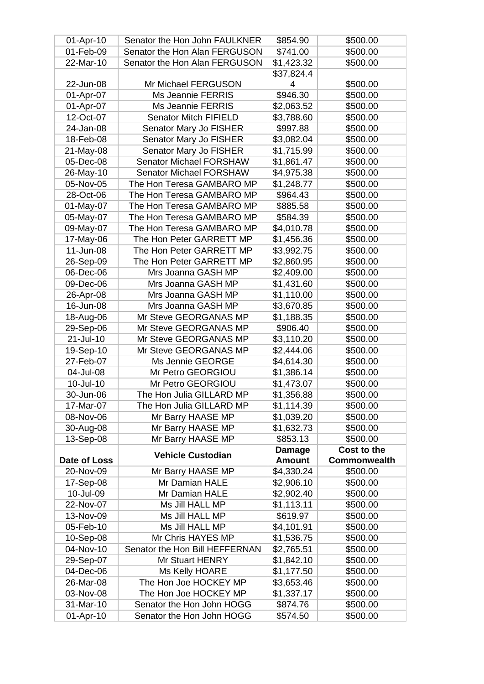| 01-Apr-10    | Senator the Hon John FAULKNER  | \$854.90      | \$500.00     |
|--------------|--------------------------------|---------------|--------------|
| 01-Feb-09    | Senator the Hon Alan FERGUSON  | \$741.00      | \$500.00     |
| 22-Mar-10    | Senator the Hon Alan FERGUSON  | \$1,423.32    | \$500.00     |
|              |                                | \$37,824.4    |              |
| 22-Jun-08    | Mr Michael FERGUSON            | 4             | \$500.00     |
| 01-Apr-07    | Ms Jeannie FERRIS              | \$946.30      | \$500.00     |
| 01-Apr-07    | Ms Jeannie FERRIS              | \$2,063.52    | \$500.00     |
| 12-Oct-07    | <b>Senator Mitch FIFIELD</b>   | \$3,788.60    | \$500.00     |
| 24-Jan-08    | Senator Mary Jo FISHER         | \$997.88      | \$500.00     |
| 18-Feb-08    | Senator Mary Jo FISHER         | \$3,082.04    | \$500.00     |
| 21-May-08    | Senator Mary Jo FISHER         | \$1,715.99    | \$500.00     |
| 05-Dec-08    | <b>Senator Michael FORSHAW</b> | \$1,861.47    | \$500.00     |
| 26-May-10    | <b>Senator Michael FORSHAW</b> | \$4,975.38    | \$500.00     |
| 05-Nov-05    | The Hon Teresa GAMBARO MP      | \$1,248.77    | \$500.00     |
| 28-Oct-06    | The Hon Teresa GAMBARO MP      | \$964.43      | \$500.00     |
| 01-May-07    | The Hon Teresa GAMBARO MP      | \$885.58      | \$500.00     |
| 05-May-07    | The Hon Teresa GAMBARO MP      | \$584.39      | \$500.00     |
| 09-May-07    | The Hon Teresa GAMBARO MP      | \$4,010.78    | \$500.00     |
| 17-May-06    | The Hon Peter GARRETT MP       | \$1,456.36    | \$500.00     |
| 11-Jun-08    | The Hon Peter GARRETT MP       | \$3,992.75    | \$500.00     |
| 26-Sep-09    | The Hon Peter GARRETT MP       | \$2,860.95    | \$500.00     |
| 06-Dec-06    | Mrs Joanna GASH MP             | \$2,409.00    | \$500.00     |
| 09-Dec-06    | Mrs Joanna GASH MP             | \$1,431.60    | \$500.00     |
| 26-Apr-08    | Mrs Joanna GASH MP             | \$1,110.00    | \$500.00     |
| 16-Jun-08    | Mrs Joanna GASH MP             | \$3,670.85    | \$500.00     |
| 18-Aug-06    | Mr Steve GEORGANAS MP          | \$1,188.35    | \$500.00     |
| 29-Sep-06    | Mr Steve GEORGANAS MP          | \$906.40      | \$500.00     |
| 21-Jul-10    | Mr Steve GEORGANAS MP          | \$3,110.20    | \$500.00     |
| 19-Sep-10    | Mr Steve GEORGANAS MP          | \$2,444.06    | \$500.00     |
| 27-Feb-07    | Ms Jennie GEORGE               | \$4,614.30    | \$500.00     |
| 04-Jul-08    | Mr Petro GEORGIOU              | \$1,386.14    | \$500.00     |
| 10-Jul-10    | Mr Petro GEORGIOU              | \$1,473.07    | \$500.00     |
| 30-Jun-06    | The Hon Julia GILLARD MP       | \$1,356.88    | \$500.00     |
| 17-Mar-07    | The Hon Julia GILLARD MP       | \$1,114.39    | \$500.00     |
| 08-Nov-06    | Mr Barry HAASE MP              | \$1,039.20    | \$500.00     |
| 30-Aug-08    | Mr Barry HAASE MP              | \$1,632.73    | \$500.00     |
| 13-Sep-08    | Mr Barry HAASE MP              | \$853.13      | \$500.00     |
|              |                                | <b>Damage</b> | Cost to the  |
| Date of Loss | <b>Vehicle Custodian</b>       | <b>Amount</b> | Commonwealth |
| 20-Nov-09    | Mr Barry HAASE MP              | \$4,330.24    | \$500.00     |
| 17-Sep-08    | Mr Damian HALE                 | \$2,906.10    | \$500.00     |
| 10-Jul-09    | Mr Damian HALE                 | \$2,902.40    | \$500.00     |
| 22-Nov-07    | Ms Jill HALL MP                | \$1,113.11    | \$500.00     |
| 13-Nov-09    | Ms Jill HALL MP                | \$619.97      | \$500.00     |
| 05-Feb-10    | Ms Jill HALL MP                | \$4,101.91    | \$500.00     |
| 10-Sep-08    | Mr Chris HAYES MP              | \$1,536.75    | \$500.00     |
| 04-Nov-10    | Senator the Hon Bill HEFFERNAN | \$2,765.51    | \$500.00     |
| 29-Sep-07    | Mr Stuart HENRY                | \$1,842.10    | \$500.00     |
| 04-Dec-06    | Ms Kelly HOARE                 | \$1,177.50    | \$500.00     |
| 26-Mar-08    | The Hon Joe HOCKEY MP          | \$3,653.46    | \$500.00     |
| 03-Nov-08    | The Hon Joe HOCKEY MP          | \$1,337.17    | \$500.00     |
| 31-Mar-10    | Senator the Hon John HOGG      | \$874.76      | \$500.00     |
| 01-Apr-10    | Senator the Hon John HOGG      | \$574.50      | \$500.00     |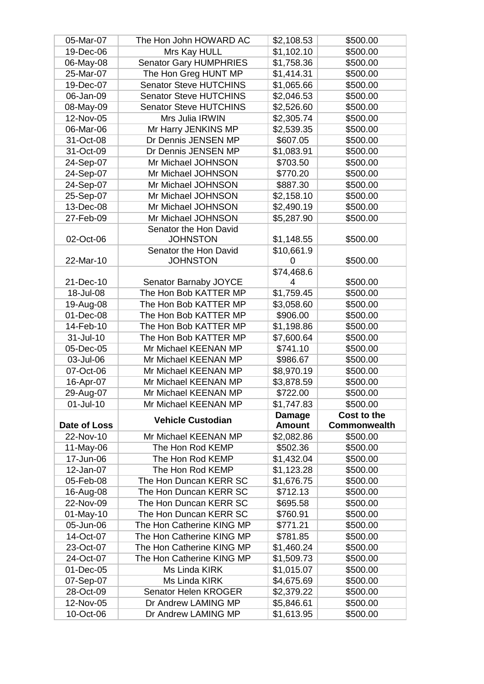| 05-Mar-07    | The Hon John HOWARD AC        | \$2,108.53    | \$500.00             |
|--------------|-------------------------------|---------------|----------------------|
| 19-Dec-06    | Mrs Kay HULL                  | \$1,102.10    | \$500.00             |
| 06-May-08    | <b>Senator Gary HUMPHRIES</b> | \$1,758.36    | \$500.00             |
| 25-Mar-07    | The Hon Greg HUNT MP          | \$1,414.31    | \$500.00             |
| 19-Dec-07    | <b>Senator Steve HUTCHINS</b> | \$1,065.66    | \$500.00             |
| 06-Jan-09    | <b>Senator Steve HUTCHINS</b> | \$2,046.53    | \$500.00             |
| 08-May-09    | <b>Senator Steve HUTCHINS</b> | \$2,526.60    | \$500.00             |
| 12-Nov-05    | Mrs Julia IRWIN               | \$2,305.74    | \$500.00             |
| 06-Mar-06    | Mr Harry JENKINS MP           | \$2,539.35    | \$500.00             |
| 31-Oct-08    | Dr Dennis JENSEN MP           | \$607.05      | \$500.00             |
| 31-Oct-09    | Dr Dennis JENSEN MP           | \$1,083.91    | \$500.00             |
| 24-Sep-07    | Mr Michael JOHNSON            | \$703.50      | \$500.00             |
| 24-Sep-07    | Mr Michael JOHNSON            | \$770.20      | \$500.00             |
|              | Mr Michael JOHNSON            |               |                      |
| 24-Sep-07    |                               | \$887.30      | \$500.00<br>\$500.00 |
| 25-Sep-07    | Mr Michael JOHNSON            | \$2,158.10    |                      |
| 13-Dec-08    | Mr Michael JOHNSON            | \$2,490.19    | \$500.00             |
| 27-Feb-09    | Mr Michael JOHNSON            | \$5,287.90    | \$500.00             |
|              | Senator the Hon David         |               |                      |
| 02-Oct-06    | <b>JOHNSTON</b>               | \$1,148.55    | \$500.00             |
|              | Senator the Hon David         | \$10,661.9    |                      |
| 22-Mar-10    | <b>JOHNSTON</b>               | 0             | \$500.00             |
|              |                               | \$74,468.6    |                      |
| 21-Dec-10    | Senator Barnaby JOYCE         | 4             | \$500.00             |
| 18-Jul-08    | The Hon Bob KATTER MP         | \$1,759.45    | \$500.00             |
| 19-Aug-08    | The Hon Bob KATTER MP         | \$3,058.60    | \$500.00             |
| 01-Dec-08    | The Hon Bob KATTER MP         | \$906.00      | \$500.00             |
| 14-Feb-10    | The Hon Bob KATTER MP         | \$1,198.86    | \$500.00             |
| 31-Jul-10    | The Hon Bob KATTER MP         | \$7,600.64    | \$500.00             |
| 05-Dec-05    | Mr Michael KEENAN MP          | \$741.10      | \$500.00             |
| 03-Jul-06    | Mr Michael KEENAN MP          | \$986.67      | \$500.00             |
| 07-Oct-06    | Mr Michael KEENAN MP          | \$8,970.19    | \$500.00             |
| 16-Apr-07    | Mr Michael KEENAN MP          | \$3,878.59    | \$500.00             |
| 29-Aug-07    | Mr Michael KEENAN MP          | \$722.00      | \$500.00             |
| 01-Jul-10    | Mr Michael KEENAN MP          | \$1,747.83    | \$500.00             |
|              | <b>Vehicle Custodian</b>      | Damage        | Cost to the          |
| Date of Loss |                               | <b>Amount</b> | Commonwealth         |
| 22-Nov-10    | Mr Michael KEENAN MP          | \$2,082.86    | \$500.00             |
| 11-May-06    | The Hon Rod KEMP              | \$502.36      | \$500.00             |
| 17-Jun-06    | The Hon Rod KEMP              | \$1,432.04    | \$500.00             |
| 12-Jan-07    | The Hon Rod KEMP              | \$1,123.28    | \$500.00             |
| 05-Feb-08    | The Hon Duncan KERR SC        | \$1,676.75    | \$500.00             |
| 16-Aug-08    | The Hon Duncan KERR SC        | \$712.13      | \$500.00             |
| 22-Nov-09    | The Hon Duncan KERR SC        | \$695.58      | \$500.00             |
| 01-May-10    | The Hon Duncan KERR SC        | \$760.91      | \$500.00             |
| 05-Jun-06    | The Hon Catherine KING MP     | \$771.21      | \$500.00             |
| 14-Oct-07    | The Hon Catherine KING MP     | \$781.85      | \$500.00             |
| 23-Oct-07    | The Hon Catherine KING MP     | \$1,460.24    | \$500.00             |
| 24-Oct-07    | The Hon Catherine KING MP     | \$1,509.73    | \$500.00             |
| 01-Dec-05    | Ms Linda KIRK                 | \$1,015.07    | \$500.00             |
| 07-Sep-07    | Ms Linda KIRK                 | \$4,675.69    | \$500.00             |
| 28-Oct-09    | Senator Helen KROGER          | \$2,379.22    | \$500.00             |
| 12-Nov-05    | Dr Andrew LAMING MP           | \$5,846.61    | \$500.00             |
| 10-Oct-06    | Dr Andrew LAMING MP           | \$1,613.95    | \$500.00             |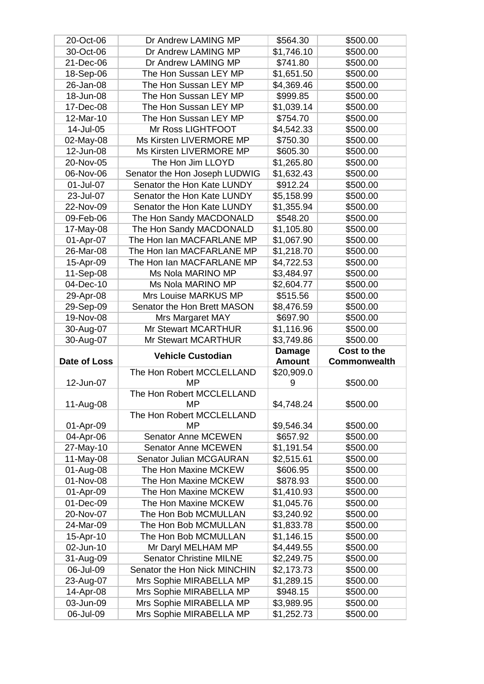| 20-Oct-06              | Dr Andrew LAMING MP                             | \$564.30                 | \$500.00             |
|------------------------|-------------------------------------------------|--------------------------|----------------------|
| 30-Oct-06              | Dr Andrew LAMING MP                             | \$1,746.10               | \$500.00             |
| 21-Dec-06              | Dr Andrew LAMING MP                             | \$741.80                 | \$500.00             |
| 18-Sep-06              | The Hon Sussan LEY MP                           | \$1,651.50               | \$500.00             |
| 26-Jan-08              | The Hon Sussan LEY MP                           | \$4,369.46               | \$500.00             |
| 18-Jun-08              | The Hon Sussan LEY MP                           | \$999.85                 | \$500.00             |
| 17-Dec-08              | The Hon Sussan LEY MP                           | \$1,039.14               | \$500.00             |
| 12-Mar-10              | The Hon Sussan LEY MP                           | \$754.70                 | \$500.00             |
| 14-Jul-05              | Mr Ross LIGHTFOOT                               | \$4,542.33               | \$500.00             |
| 02-May-08              | Ms Kirsten LIVERMORE MP                         | \$750.30                 | \$500.00             |
| 12-Jun-08              | Ms Kirsten LIVERMORE MP                         | \$605.30                 | \$500.00             |
| 20-Nov-05              | The Hon Jim LLOYD                               | \$1,265.80               | \$500.00             |
| 06-Nov-06              | Senator the Hon Joseph LUDWIG                   | \$1,632.43               | \$500.00             |
| 01-Jul-07              | Senator the Hon Kate LUNDY                      | \$912.24                 | \$500.00             |
| 23-Jul-07              | Senator the Hon Kate LUNDY                      | \$5,158.99               | \$500.00             |
| 22-Nov-09              | Senator the Hon Kate LUNDY                      | \$1,355.94               | \$500.00             |
| 09-Feb-06              | The Hon Sandy MACDONALD                         | \$548.20                 | \$500.00             |
| 17-May-08              | The Hon Sandy MACDONALD                         | \$1,105.80               | \$500.00             |
| 01-Apr-07              | The Hon Ian MACFARLANE MP                       | \$1,067.90               | \$500.00             |
| 26-Mar-08              | The Hon Ian MACFARLANE MP                       | \$1,218.70               | \$500.00             |
| 15-Apr-09              | The Hon Ian MACFARLANE MP                       | \$4,722.53               | \$500.00             |
| 11-Sep-08              | Ms Nola MARINO MP                               | \$3,484.97               | \$500.00             |
| 04-Dec-10              | Ms Nola MARINO MP                               | \$2,604.77               | \$500.00             |
|                        | Mrs Louise MARKUS MP                            |                          |                      |
| 29-Apr-08              |                                                 | \$515.56                 | \$500.00             |
| 29-Sep-09              | Senator the Hon Brett MASON                     | \$8,476.59               | \$500.00             |
| 19-Nov-08              | Mrs Margaret MAY                                | \$697.90                 | \$500.00             |
|                        |                                                 |                          |                      |
| 30-Aug-07              | <b>Mr Stewart MCARTHUR</b>                      | \$1,116.96               | \$500.00             |
| 30-Aug-07              | <b>Mr Stewart MCARTHUR</b>                      | \$3,749.86               | \$500.00             |
|                        | <b>Vehicle Custodian</b>                        | <b>Damage</b>            | Cost to the          |
| Date of Loss           |                                                 | <b>Amount</b>            | <b>Commonwealth</b>  |
|                        | The Hon Robert MCCLELLAND                       | \$20,909.0               |                      |
| 12-Jun-07              | <b>MP</b>                                       | 9                        | \$500.00             |
|                        | The Hon Robert MCCLELLAND                       |                          |                      |
| 11-Aug-08              | ΜP                                              | \$4,748.24               | \$500.00             |
|                        | The Hon Robert MCCLELLAND<br>МP                 |                          |                      |
| 01-Apr-09              |                                                 | \$9,546.34               | \$500.00             |
| 04-Apr-06              | <b>Senator Anne MCEWEN</b>                      | \$657.92                 | \$500.00             |
| 27-May-10              | <b>Senator Anne MCEWEN</b>                      | \$1,191.54               | \$500.00             |
| 11-May-08              | Senator Julian MCGAURAN<br>The Hon Maxine MCKEW | \$2,515.61               | \$500.00             |
| 01-Aug-08              | The Hon Maxine MCKEW                            | \$606.95                 | \$500.00             |
| 01-Nov-08              |                                                 | \$878.93                 | \$500.00             |
| 01-Apr-09              | The Hon Maxine MCKEW<br>The Hon Maxine MCKEW    | \$1,410.93               | \$500.00             |
| 01-Dec-09<br>20-Nov-07 | The Hon Bob MCMULLAN                            | \$1,045.76               | \$500.00             |
| 24-Mar-09              | The Hon Bob MCMULLAN                            | \$3,240.92               | \$500.00<br>\$500.00 |
| 15-Apr-10              | The Hon Bob MCMULLAN                            | \$1,833.78<br>\$1,146.15 | \$500.00             |
| 02-Jun-10              | Mr Daryl MELHAM MP                              | \$4,449.55               | \$500.00             |
| 31-Aug-09              | <b>Senator Christine MILNE</b>                  | \$2,249.75               | \$500.00             |
| 06-Jul-09              | Senator the Hon Nick MINCHIN                    | \$2,173.73               | \$500.00             |
| 23-Aug-07              | Mrs Sophie MIRABELLA MP                         | \$1,289.15               | \$500.00             |
| 14-Apr-08              | Mrs Sophie MIRABELLA MP                         | \$948.15                 | \$500.00             |
| 03-Jun-09              | Mrs Sophie MIRABELLA MP                         | \$3,989.95               | \$500.00             |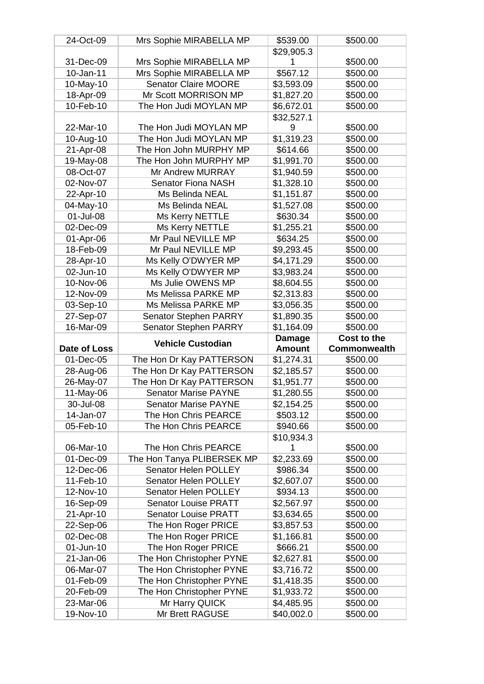| 24-Oct-09              | Mrs Sophie MIRABELLA MP           | \$539.00                 | \$500.00             |
|------------------------|-----------------------------------|--------------------------|----------------------|
|                        |                                   | \$29,905.3               |                      |
| 31-Dec-09              | Mrs Sophie MIRABELLA MP           |                          | \$500.00             |
| 10-Jan-11              | Mrs Sophie MIRABELLA MP           | \$567.12                 | \$500.00             |
| 10-May-10              | <b>Senator Claire MOORE</b>       | \$3,593.09               | \$500.00             |
| 18-Apr-09              | Mr Scott MORRISON MP              | \$1,827.20               | \$500.00             |
| 10-Feb-10              | The Hon Judi MOYLAN MP            | \$6,672.01               | \$500.00             |
|                        |                                   | \$32,527.1               |                      |
| 22-Mar-10              | The Hon Judi MOYLAN MP            | 9                        | \$500.00             |
| 10-Aug-10              | The Hon Judi MOYLAN MP            | \$1,319.23               | \$500.00             |
| 21-Apr-08              | The Hon John MURPHY MP            | \$614.66                 | \$500.00             |
| 19-May-08              | The Hon John MURPHY MP            | \$1,991.70               | \$500.00             |
| 08-Oct-07              | Mr Andrew MURRAY                  | \$1,940.59               | \$500.00             |
| 02-Nov-07              | <b>Senator Fiona NASH</b>         | \$1,328.10               | \$500.00             |
| 22-Apr-10              | Ms Belinda NEAL                   | \$1,151.87               | \$500.00             |
| 04-May-10              | <b>Ms Belinda NEAL</b>            | \$1,527.08               | \$500.00             |
| 01-Jul-08              | Ms Kerry NETTLE                   | \$630.34                 | \$500.00             |
| 02-Dec-09              | Ms Kerry NETTLE                   | \$1,255.21               | \$500.00             |
| 01-Apr-06              | Mr Paul NEVILLE MP                | \$634.25                 | \$500.00             |
| 18-Feb-09              | Mr Paul NEVILLE MP                | \$9,293.45               | \$500.00             |
| 28-Apr-10              | Ms Kelly O'DWYER MP               | \$4,171.29               | \$500.00             |
| 02-Jun-10              | Ms Kelly O'DWYER MP               | \$3,983.24               | \$500.00             |
| 10-Nov-06              | Ms Julie OWENS MP                 | \$8,604.55               | \$500.00             |
| 12-Nov-09              | Ms Melissa PARKE MP               | \$2,313.83               | \$500.00             |
| 03-Sep-10              | Ms Melissa PARKE MP               | \$3,056.35               | \$500.00             |
|                        |                                   |                          |                      |
| 27-Sep-07              | <b>Senator Stephen PARRY</b>      | \$1,890.35               | \$500.00             |
|                        |                                   |                          |                      |
| 16-Mar-09              | <b>Senator Stephen PARRY</b>      | \$1,164.09               | \$500.00             |
|                        | <b>Vehicle Custodian</b>          | <b>Damage</b>            | Cost to the          |
| Date of Loss           |                                   | <b>Amount</b>            | <b>Commonwealth</b>  |
| 01-Dec-05              | The Hon Dr Kay PATTERSON          | \$1,274.31               | \$500.00             |
| 28-Aug-06              | The Hon Dr Kay PATTERSON          | \$2,185.57               | \$500.00             |
| 26-May-07              | The Hon Dr Kay PATTERSON          | \$1,951.77               | \$500.00             |
| 11-May-06              | <b>Senator Marise PAYNE</b>       | \$1,280.55               | \$500.00             |
| 30-Jul-08              | <b>Senator Marise PAYNE</b>       | \$2,154.25               | \$500.00             |
| 14-Jan-07              | The Hon Chris PEARCE              | \$503.12                 | \$500.00             |
| 05-Feb-10              | The Hon Chris PEARCE              | \$940.66                 | \$500.00             |
|                        |                                   | \$10,934.3               |                      |
| 06-Mar-10              | The Hon Chris PEARCE              | 1                        | \$500.00             |
| 01-Dec-09              | The Hon Tanya PLIBERSEK MP        | \$2,233.69               | \$500.00             |
| 12-Dec-06              | Senator Helen POLLEY              | \$986.34                 | \$500.00             |
| 11-Feb-10              | Senator Helen POLLEY              | \$2,607.07               | \$500.00             |
| 12-Nov-10              | Senator Helen POLLEY              | \$934.13                 | \$500.00             |
| 16-Sep-09              | <b>Senator Louise PRATT</b>       | \$2,567.97               | \$500.00             |
| 21-Apr-10              | <b>Senator Louise PRATT</b>       | \$3,634.65               | \$500.00             |
| 22-Sep-06              | The Hon Roger PRICE               | \$3,857.53               | \$500.00             |
| 02-Dec-08              | The Hon Roger PRICE               | \$1,166.81               | \$500.00             |
| 01-Jun-10              | The Hon Roger PRICE               | \$666.21                 | \$500.00             |
| 21-Jan-06              | The Hon Christopher PYNE          | \$2,627.81               | \$500.00             |
| 06-Mar-07              | The Hon Christopher PYNE          | \$3,716.72               | \$500.00             |
| 01-Feb-09              | The Hon Christopher PYNE          | \$1,418.35               | \$500.00             |
| 20-Feb-09              | The Hon Christopher PYNE          | \$1,933.72               | \$500.00             |
| 23-Mar-06<br>19-Nov-10 | Mr Harry QUICK<br>Mr Brett RAGUSE | \$4,485.95<br>\$40,002.0 | \$500.00<br>\$500.00 |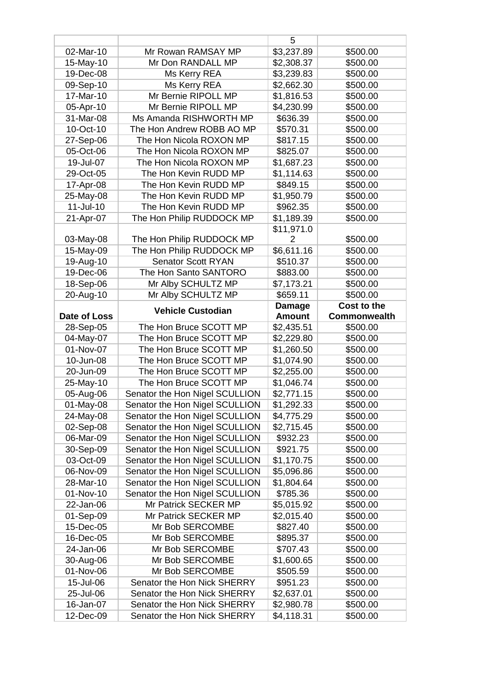|                        |                                                            | 5                              |                      |
|------------------------|------------------------------------------------------------|--------------------------------|----------------------|
| 02-Mar-10              | Mr Rowan RAMSAY MP                                         | \$3,237.89                     | \$500.00             |
| 15-May-10              | Mr Don RANDALL MP                                          | \$2,308.37                     | \$500.00             |
| 19-Dec-08              | Ms Kerry REA                                               | \$3,239.83                     | \$500.00             |
| 09-Sep-10              | Ms Kerry REA                                               | \$2,662.30                     | \$500.00             |
| 17-Mar-10              | Mr Bernie RIPOLL MP                                        | \$1,816.53                     | \$500.00             |
| 05-Apr-10              | Mr Bernie RIPOLL MP                                        | \$4,230.99                     | \$500.00             |
| 31-Mar-08              | Ms Amanda RISHWORTH MP                                     | \$636.39                       | \$500.00             |
| 10-Oct-10              | The Hon Andrew ROBB AO MP                                  | \$570.31                       | \$500.00             |
| 27-Sep-06              | The Hon Nicola ROXON MP                                    | \$817.15                       | \$500.00             |
| 05-Oct-06              | The Hon Nicola ROXON MP                                    | \$825.07                       | \$500.00             |
| 19-Jul-07              | The Hon Nicola ROXON MP                                    | \$1,687.23                     | \$500.00             |
| 29-Oct-05              | The Hon Kevin RUDD MP                                      | \$1,114.63                     | \$500.00             |
| 17-Apr-08              | The Hon Kevin RUDD MP                                      | \$849.15                       | \$500.00             |
| 25-May-08              | The Hon Kevin RUDD MP                                      | \$1,950.79                     | \$500.00             |
| 11-Jul-10              | The Hon Kevin RUDD MP                                      | \$962.35                       | \$500.00             |
| 21-Apr-07              | The Hon Philip RUDDOCK MP                                  | \$1,189.39                     | \$500.00             |
|                        |                                                            | \$11,971.0                     |                      |
| 03-May-08              | The Hon Philip RUDDOCK MP                                  |                                | \$500.00             |
| 15-May-09              | The Hon Philip RUDDOCK MP                                  | \$6,611.16                     | \$500.00             |
| 19-Aug-10              | <b>Senator Scott RYAN</b>                                  | \$510.37                       | \$500.00             |
| 19-Dec-06              | The Hon Santo SANTORO                                      | \$883.00                       | \$500.00             |
| 18-Sep-06              | Mr Alby SCHULTZ MP                                         | \$7,173.21                     | \$500.00             |
| 20-Aug-10              | Mr Alby SCHULTZ MP                                         | \$659.11                       | \$500.00             |
|                        |                                                            |                                | Cost to the          |
| Date of Loss           | <b>Vehicle Custodian</b>                                   | <b>Damage</b><br><b>Amount</b> | <b>Commonwealth</b>  |
|                        |                                                            |                                |                      |
|                        |                                                            |                                |                      |
| 28-Sep-05              | The Hon Bruce SCOTT MP                                     | \$2,435.51                     | \$500.00             |
| 04-May-07              | The Hon Bruce SCOTT MP                                     | \$2,229.80                     | \$500.00             |
| 01-Nov-07              | The Hon Bruce SCOTT MP                                     | \$1,260.50                     | \$500.00             |
| 10-Jun-08              | The Hon Bruce SCOTT MP                                     | \$1,074.90                     | \$500.00             |
| 20-Jun-09              | The Hon Bruce SCOTT MP                                     | \$2,255.00                     | \$500.00             |
| 25-May-10              | The Hon Bruce SCOTT MP                                     | \$1,046.74                     | \$500.00             |
| 05-Aug-06              | Senator the Hon Nigel SCULLION                             | \$2,771.15                     | \$500.00             |
| 01-May-08              | Senator the Hon Nigel SCULLION                             | \$1,292.33                     | \$500.00             |
| 24-May-08              | Senator the Hon Nigel SCULLION                             | \$4,775.29                     | \$500.00             |
| 02-Sep-08              | Senator the Hon Nigel SCULLION                             | \$2,715.45                     | \$500.00             |
| 06-Mar-09              | Senator the Hon Nigel SCULLION                             | \$932.23                       | \$500.00             |
| 30-Sep-09              | Senator the Hon Nigel SCULLION                             | \$921.75                       | \$500.00             |
| 03-Oct-09              | Senator the Hon Nigel SCULLION                             | \$1,170.75                     | \$500.00             |
| 06-Nov-09              | Senator the Hon Nigel SCULLION                             | \$5,096.86                     | \$500.00             |
| 28-Mar-10              | Senator the Hon Nigel SCULLION                             | \$1,804.64                     | \$500.00             |
| 01-Nov-10              | Senator the Hon Nigel SCULLION                             | \$785.36                       | \$500.00             |
| 22-Jan-06              | Mr Patrick SECKER MP                                       | \$5,015.92                     | \$500.00             |
| 01-Sep-09              | Mr Patrick SECKER MP                                       | \$2,015.40                     | \$500.00             |
| 15-Dec-05              | Mr Bob SERCOMBE                                            | \$827.40                       | \$500.00             |
| 16-Dec-05              | Mr Bob SERCOMBE                                            | \$895.37                       | \$500.00             |
| 24-Jan-06              | Mr Bob SERCOMBE                                            | \$707.43                       | \$500.00             |
| 30-Aug-06              | Mr Bob SERCOMBE                                            | \$1,600.65                     | \$500.00             |
| 01-Nov-06              | Mr Bob SERCOMBE                                            | \$505.59                       | \$500.00             |
| 15-Jul-06              | Senator the Hon Nick SHERRY                                | \$951.23                       | \$500.00             |
| 25-Jul-06              | Senator the Hon Nick SHERRY                                | \$2,637.01                     | \$500.00             |
| 16-Jan-07<br>12-Dec-09 | Senator the Hon Nick SHERRY<br>Senator the Hon Nick SHERRY | \$2,980.78<br>\$4,118.31       | \$500.00<br>\$500.00 |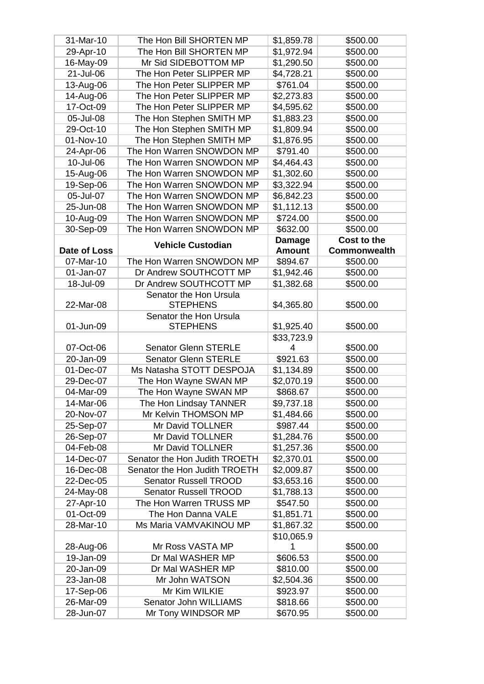| 31-Mar-10    | The Hon Bill SHORTEN MP       | \$1,859.78    | \$500.00            |
|--------------|-------------------------------|---------------|---------------------|
| 29-Apr-10    | The Hon Bill SHORTEN MP       | \$1,972.94    | \$500.00            |
| 16-May-09    | Mr Sid SIDEBOTTOM MP          | \$1,290.50    | \$500.00            |
| 21-Jul-06    | The Hon Peter SLIPPER MP      | \$4,728.21    | \$500.00            |
| 13-Aug-06    | The Hon Peter SLIPPER MP      | \$761.04      | \$500.00            |
| 14-Aug-06    | The Hon Peter SLIPPER MP      | \$2,273.83    | \$500.00            |
| 17-Oct-09    | The Hon Peter SLIPPER MP      | \$4,595.62    | \$500.00            |
| 05-Jul-08    | The Hon Stephen SMITH MP      | \$1,883.23    | \$500.00            |
| 29-Oct-10    | The Hon Stephen SMITH MP      | \$1,809.94    | \$500.00            |
| 01-Nov-10    | The Hon Stephen SMITH MP      | \$1,876.95    | \$500.00            |
| 24-Apr-06    | The Hon Warren SNOWDON MP     | \$791.40      | \$500.00            |
| 10-Jul-06    | The Hon Warren SNOWDON MP     | \$4,464.43    | \$500.00            |
| 15-Aug-06    | The Hon Warren SNOWDON MP     | \$1,302.60    | \$500.00            |
| 19-Sep-06    | The Hon Warren SNOWDON MP     | \$3,322.94    | \$500.00            |
| 05-Jul-07    | The Hon Warren SNOWDON MP     | \$6,842.23    | \$500.00            |
| 25-Jun-08    | The Hon Warren SNOWDON MP     | \$1,112.13    | \$500.00            |
| 10-Aug-09    | The Hon Warren SNOWDON MP     | \$724.00      | \$500.00            |
| 30-Sep-09    | The Hon Warren SNOWDON MP     | \$632.00      | \$500.00            |
|              |                               | <b>Damage</b> | Cost to the         |
| Date of Loss | <b>Vehicle Custodian</b>      | <b>Amount</b> | <b>Commonwealth</b> |
| 07-Mar-10    | The Hon Warren SNOWDON MP     | \$894.67      | \$500.00            |
| 01-Jan-07    | Dr Andrew SOUTHCOTT MP        | \$1,942.46    | \$500.00            |
| 18-Jul-09    | Dr Andrew SOUTHCOTT MP        | \$1,382.68    | \$500.00            |
|              | Senator the Hon Ursula        |               |                     |
| 22-Mar-08    | <b>STEPHENS</b>               | \$4,365.80    | \$500.00            |
|              | Senator the Hon Ursula        |               |                     |
| 01-Jun-09    | <b>STEPHENS</b>               | \$1,925.40    | \$500.00            |
|              |                               | \$33,723.9    |                     |
| 07-Oct-06    | <b>Senator Glenn STERLE</b>   | 4             | \$500.00            |
| 20-Jan-09    | <b>Senator Glenn STERLE</b>   | \$921.63      | \$500.00            |
| 01-Dec-07    | Ms Natasha STOTT DESPOJA      | \$1,134.89    | \$500.00            |
| 29-Dec-07    | The Hon Wayne SWAN MP         | \$2,070.19    | \$500.00            |
| 04-Mar-09    | The Hon Wayne SWAN MP         | \$868.67      | \$500.00            |
| 14-Mar-06    | The Hon Lindsay TANNER        | \$9,737.18    | \$500.00            |
| 20-Nov-07    | Mr Kelvin THOMSON MP          | \$1,484.66    | \$500.00            |
| 25-Sep-07    | Mr David TOLLNER              | \$987.44      | \$500.00            |
| 26-Sep-07    | Mr David TOLLNER              | \$1,284.76    | \$500.00            |
| 04-Feb-08    | Mr David TOLLNER              | \$1,257.36    | \$500.00            |
| 14-Dec-07    | Senator the Hon Judith TROETH | \$2,370.01    | \$500.00            |
| 16-Dec-08    | Senator the Hon Judith TROETH | \$2,009.87    | \$500.00            |
| 22-Dec-05    | <b>Senator Russell TROOD</b>  | \$3,653.16    | \$500.00            |
| 24-May-08    | <b>Senator Russell TROOD</b>  | \$1,788.13    | \$500.00            |
| 27-Apr-10    | The Hon Warren TRUSS MP       | \$547.50      | \$500.00            |
| 01-Oct-09    | The Hon Danna VALE            | \$1,851.71    | \$500.00            |
| 28-Mar-10    | Ms Maria VAMVAKINOU MP        | \$1,867.32    | \$500.00            |
|              |                               | \$10,065.9    |                     |
| 28-Aug-06    | Mr Ross VASTA MP              | 1             | \$500.00            |
| 19-Jan-09    | Dr Mal WASHER MP              | \$606.53      | \$500.00            |
| 20-Jan-09    | Dr Mal WASHER MP              | \$810.00      | \$500.00            |
| 23-Jan-08    | Mr John WATSON                | \$2,504.36    | \$500.00            |
| 17-Sep-06    | Mr Kim WILKIE                 | \$923.97      | \$500.00            |
| 26-Mar-09    | Senator John WILLIAMS         | \$818.66      | \$500.00            |
| 28-Jun-07    | Mr Tony WINDSOR MP            | \$670.95      | \$500.00            |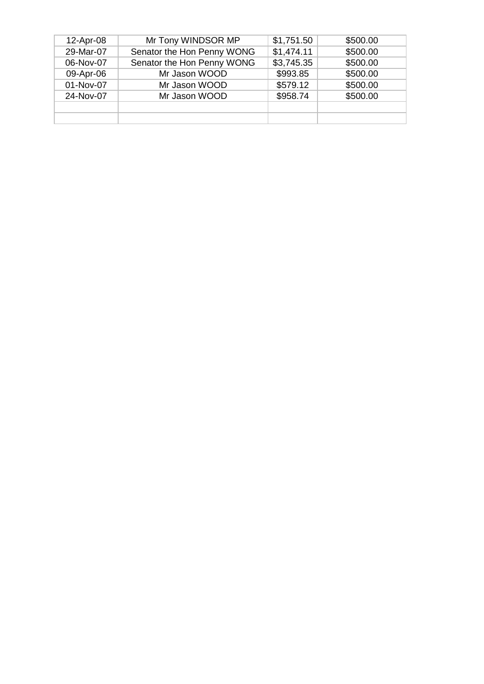| 12-Apr-08 | Mr Tony WINDSOR MP         | \$1,751.50 | \$500.00 |
|-----------|----------------------------|------------|----------|
| 29-Mar-07 | Senator the Hon Penny WONG | \$1,474.11 | \$500.00 |
| 06-Nov-07 | Senator the Hon Penny WONG | \$3,745.35 | \$500.00 |
| 09-Apr-06 | Mr Jason WOOD              | \$993.85   | \$500.00 |
| 01-Nov-07 | Mr Jason WOOD              | \$579.12   | \$500.00 |
| 24-Nov-07 | Mr Jason WOOD              | \$958.74   | \$500.00 |
|           |                            |            |          |
|           |                            |            |          |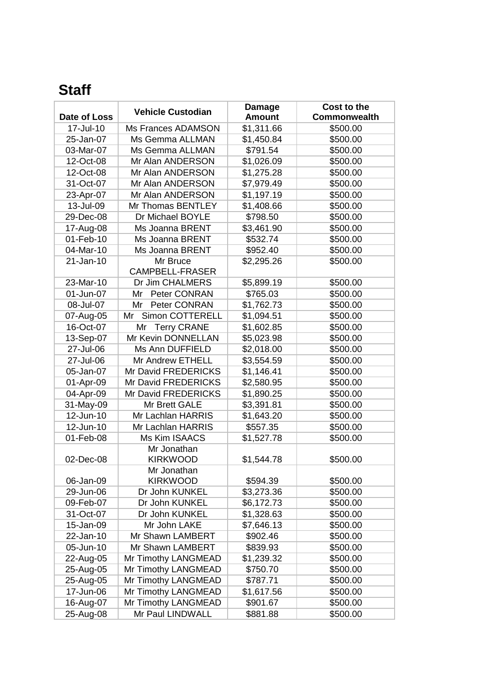## **Staff**

|              | <b>Vehicle Custodian</b>  | <b>Damage</b> | Cost to the         |
|--------------|---------------------------|---------------|---------------------|
| Date of Loss |                           | <b>Amount</b> | <b>Commonwealth</b> |
| 17-Jul-10    | Ms Frances ADAMSON        | \$1,311.66    | \$500.00            |
| 25-Jan-07    | Ms Gemma ALLMAN           | \$1,450.84    | \$500.00            |
| 03-Mar-07    | Ms Gemma ALLMAN           | \$791.54      | \$500.00            |
| 12-Oct-08    | Mr Alan ANDERSON          | \$1,026.09    | \$500.00            |
| 12-Oct-08    | Mr Alan ANDERSON          | \$1,275.28    | \$500.00            |
| 31-Oct-07    | Mr Alan ANDERSON          | \$7,979.49    | \$500.00            |
| 23-Apr-07    | Mr Alan ANDERSON          | \$1,197.19    | \$500.00            |
| 13-Jul-09    | Mr Thomas BENTLEY         | \$1,408.66    | \$500.00            |
| 29-Dec-08    | Dr Michael BOYLE          | \$798.50      | \$500.00            |
| 17-Aug-08    | Ms Joanna BRENT           | \$3,461.90    | \$500.00            |
| 01-Feb-10    | Ms Joanna BRENT           | \$532.74      | \$500.00            |
| 04-Mar-10    | Ms Joanna BRENT           | \$952.40      | \$500.00            |
| 21-Jan-10    | Mr Bruce                  | \$2,295.26    | \$500.00            |
|              | <b>CAMPBELL-FRASER</b>    |               |                     |
| 23-Mar-10    | Dr Jim CHALMERS           | \$5,899.19    | \$500.00            |
| 01-Jun-07    | Peter CONRAN<br>Mr        | \$765.03      | \$500.00            |
| 08-Jul-07    | <b>Peter CONRAN</b><br>Mr | \$1,762.73    | \$500.00            |
| 07-Aug-05    | Simon COTTERELL<br>Mr     | \$1,094.51    | \$500.00            |
| 16-Oct-07    | <b>Terry CRANE</b><br>Mr  | \$1,602.85    | \$500.00            |
| 13-Sep-07    | Mr Kevin DONNELLAN        | \$5,023.98    | \$500.00            |
| 27-Jul-06    | Ms Ann DUFFIELD           | \$2,018.00    | \$500.00            |
| 27-Jul-06    | Mr Andrew ETHELL          | \$3,554.59    | \$500.00            |
| 05-Jan-07    | Mr David FREDERICKS       | \$1,146.41    | \$500.00            |
| 01-Apr-09    | Mr David FREDERICKS       | \$2,580.95    | \$500.00            |
| 04-Apr-09    | Mr David FREDERICKS       | \$1,890.25    | \$500.00            |
| 31-May-09    | Mr Brett GALE             | \$3,391.81    | \$500.00            |
| 12-Jun-10    | Mr Lachlan HARRIS         | \$1,643.20    | \$500.00            |
| 12-Jun-10    | Mr Lachlan HARRIS         | \$557.35      | \$500.00            |
| 01-Feb-08    | <b>Ms Kim ISAACS</b>      | \$1,527.78    | \$500.00            |
|              | Mr Jonathan               |               |                     |
| 02-Dec-08    | <b>KIRKWOOD</b>           | \$1,544.78    | \$500.00            |
|              | Mr Jonathan               |               |                     |
| 06-Jan-09    | <b>KIRKWOOD</b>           | \$594.39      | \$500.00            |
| 29-Jun-06    | Dr John KUNKEL            | \$3,273.36    | \$500.00            |
| 09-Feb-07    | Dr John KUNKEL            | \$6,172.73    | \$500.00            |
| 31-Oct-07    | Dr John KUNKEL            | \$1,328.63    | \$500.00            |
| 15-Jan-09    | Mr John LAKE              | \$7,646.13    | \$500.00            |
| 22-Jan-10    | Mr Shawn LAMBERT          | \$902.46      | \$500.00            |
| 05-Jun-10    | Mr Shawn LAMBERT          | \$839.93      | \$500.00            |
| 22-Aug-05    | Mr Timothy LANGMEAD       | \$1,239.32    | \$500.00            |
| 25-Aug-05    | Mr Timothy LANGMEAD       | \$750.70      | \$500.00            |
| 25-Aug-05    | Mr Timothy LANGMEAD       | \$787.71      | \$500.00            |
| 17-Jun-06    | Mr Timothy LANGMEAD       | \$1,617.56    | \$500.00            |
| 16-Aug-07    | Mr Timothy LANGMEAD       | \$901.67      | \$500.00            |
| 25-Aug-08    | Mr Paul LINDWALL          | \$881.88      | \$500.00            |